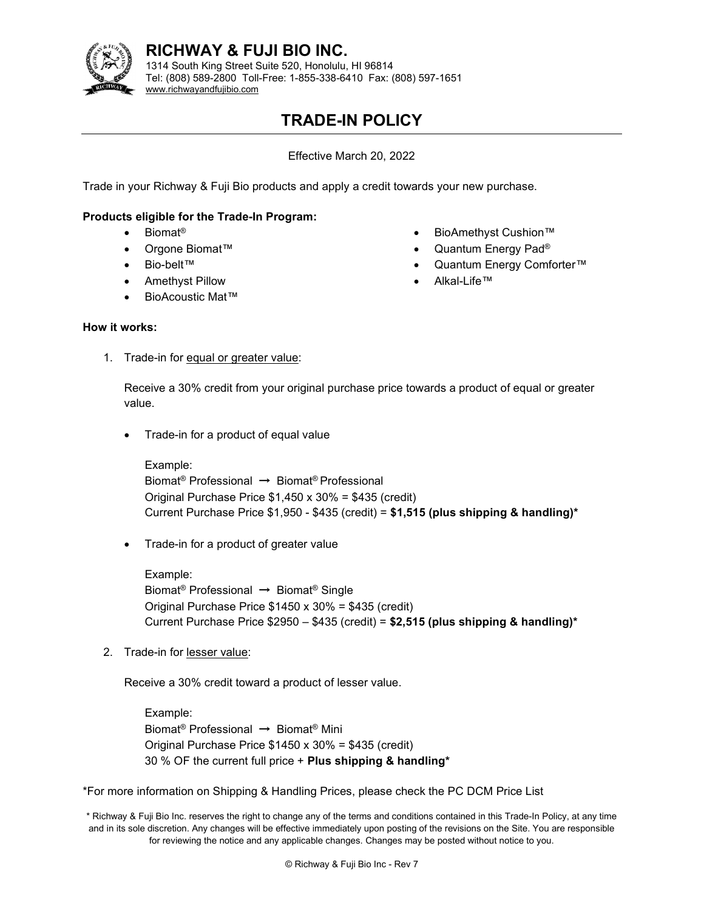

# RICHWAY & FUJI BIO INC.

1314 South King Street Suite 520, Honolulu, HI 96814 Tel: (808) 589-2800 Toll-Free: 1-855-338-6410 Fax: (808) 597-1651 www.richwayandfujibio.com

# TRADE-IN POLICY

Effective March 20, 2022

Trade in your Richway & Fuji Bio products and apply a credit towards your new purchase.

# Products eligible for the Trade-In Program:

- Biomat<sup>®</sup>
- Orgone Biomat<sup>™</sup>
- Bio-belt™
- Amethyst Pillow
- BioAcoustic Mat™
- BioAmethyst Cushion™
- Quantum Energy Pad®
- Quantum Energy Comforter™
- Alkal-Life™

## How it works:

1. Trade-in for equal or greater value:

Receive a 30% credit from your original purchase price towards a product of equal or greater value.

Trade-in for a product of equal value

Example: Biomat® Professional → Biomat® Professional Original Purchase Price \$1,450 x 30% = \$435 (credit) Current Purchase Price  $$1,950 - $435$  (credit) = \$1,515 (plus shipping & handling)\*

• Trade-in for a product of greater value

Example: Biomat® Professional → Biomat® Single Original Purchase Price \$1450 x 30% = \$435 (credit) Current Purchase Price  $$2950 - $435$  (credit) = \$2,515 (plus shipping & handling)\*

2. Trade-in for lesser value:

Receive a 30% credit toward a product of lesser value.

Example: Biomat® Professional → Biomat® Mini Original Purchase Price \$1450 x 30% = \$435 (credit) 30 % OF the current full price  $+$  Plus shipping & handling\*

\*For more information on Shipping & Handling Prices, please check the PC DCM Price List

\* Richway & Fuji Bio Inc. reserves the right to change any of the terms and conditions contained in this Trade-In Policy, at any time and in its sole discretion. Any changes will be effective immediately upon posting of the revisions on the Site. You are responsible for reviewing the notice and any applicable changes. Changes may be posted without notice to you.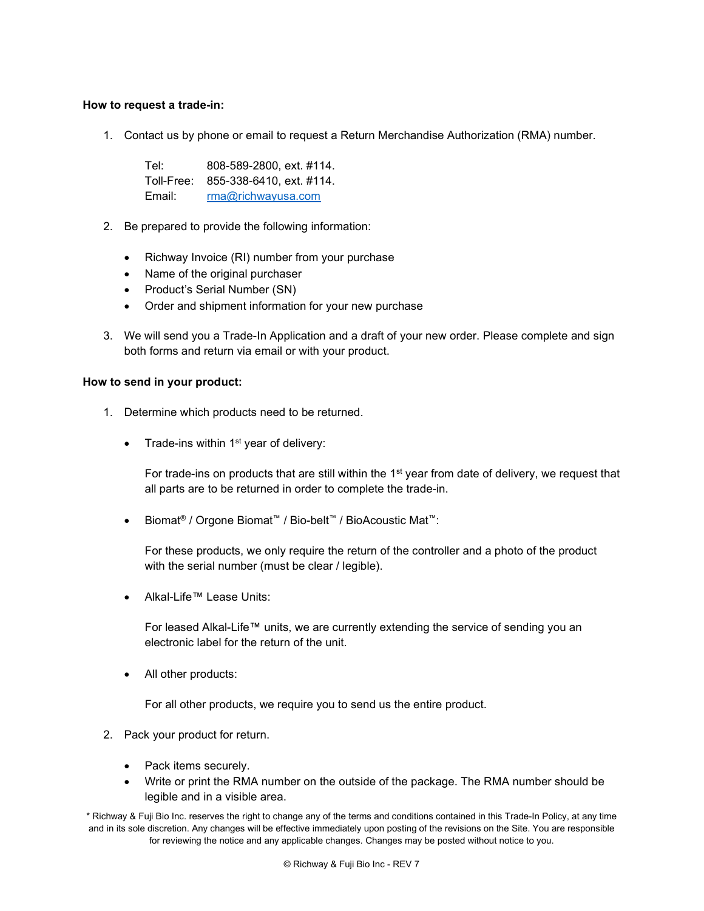# How to request a trade-in:

1. Contact us by phone or email to request a Return Merchandise Authorization (RMA) number.

Tel: 808-589-2800, ext. #114. Toll-Free: 855-338-6410, ext. #114. Email: rma@richwayusa.com

- 2. Be prepared to provide the following information:
	- Richway Invoice (RI) number from your purchase
	- Name of the original purchaser
	- Product's Serial Number (SN)
	- Order and shipment information for your new purchase
- 3. We will send you a Trade-In Application and a draft of your new order. Please complete and sign both forms and return via email or with your product.

#### How to send in your product:

- 1. Determine which products need to be returned.
	- Trade-ins within  $1<sup>st</sup>$  year of delivery:

For trade-ins on products that are still within the  $1<sup>st</sup>$  year from date of delivery, we request that all parts are to be returned in order to complete the trade-in.

Biomat® / Orgone Biomat™ / Bio-belt™ / BioAcoustic Mat™:

For these products, we only require the return of the controller and a photo of the product with the serial number (must be clear / legible).

Alkal-Life™ Lease Units:

For leased Alkal-Life™ units, we are currently extending the service of sending you an electronic label for the return of the unit.

• All other products:

For all other products, we require you to send us the entire product.

- 2. Pack your product for return.
	- Pack items securely.
	- Write or print the RMA number on the outside of the package. The RMA number should be legible and in a visible area.

\* Richway & Fuji Bio Inc. reserves the right to change any of the terms and conditions contained in this Trade-In Policy, at any time and in its sole discretion. Any changes will be effective immediately upon posting of the revisions on the Site. You are responsible for reviewing the notice and any applicable changes. Changes may be posted without notice to you.